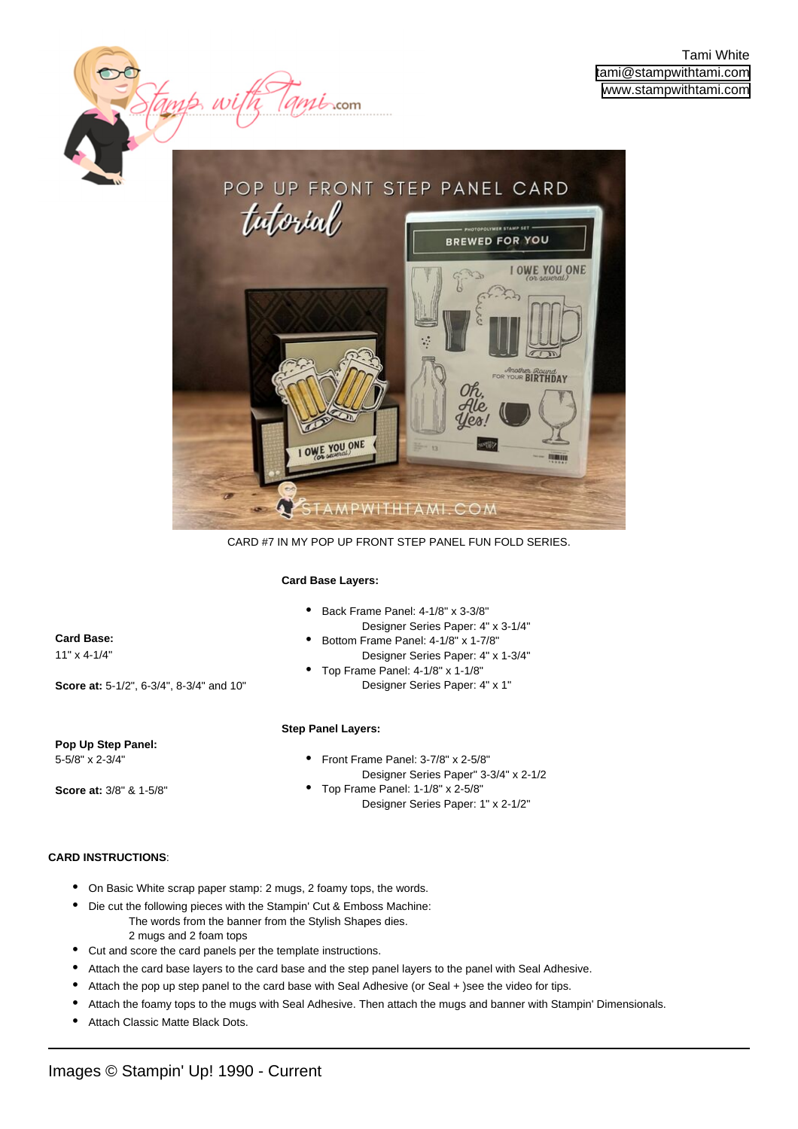

CARD #7 IN MY POP UP FRONT STEP PANEL FUN FOLD SERIES.

### **Card Base Layers:**

 $m\dot{\mathbf{b}}$ .com

| Back Frame Panel: 4-1/8" x 3-3/8" |
|-----------------------------------|
| Docianor Corios Dopor: 4" v.      |

- Designer Series Paper: 4" x 3-1/4" Bottom Frame Panel: 4-1/8" x 1-7/8" Designer Series Paper: 4" x 1-3/4" •
- Top Frame Panel: 4-1/8" x 1-1/8" Designer Series Paper: 4" x 1" •

## **Step Panel Layers:**

- Front Frame Panel: 3-7/8" x 2-5/8" Designer Series Paper" 3-3/4" x 2-1/2 •
- Top Frame Panel: 1-1/8" x 2-5/8" Designer Series Paper: 1" x 2-1/2" •

# **CARD INSTRUCTIONS**:

**Pop Up Step Panel:**  5-5/8" x 2-3/4"

**Score at:** 3/8" & 1-5/8"

**Score at:** 5-1/2", 6-3/4", 8-3/4" and 10"

Stamp wi

**Card Base:**  11" x 4-1/4"

- On Basic White scrap paper stamp: 2 mugs, 2 foamy tops, the words.
- Die cut the following pieces with the Stampin' Cut & Emboss Machine: The words from the banner from the Stylish Shapes dies. 2 mugs and 2 foam tops •
- Cut and score the card panels per the template instructions.
- Attach the card base layers to the card base and the step panel layers to the panel with Seal Adhesive.
- Attach the pop up step panel to the card base with Seal Adhesive (or Seal + )see the video for tips.
- Attach the foamy tops to the mugs with Seal Adhesive. Then attach the mugs and banner with Stampin' Dimensionals.
- Attach Classic Matte Black Dots.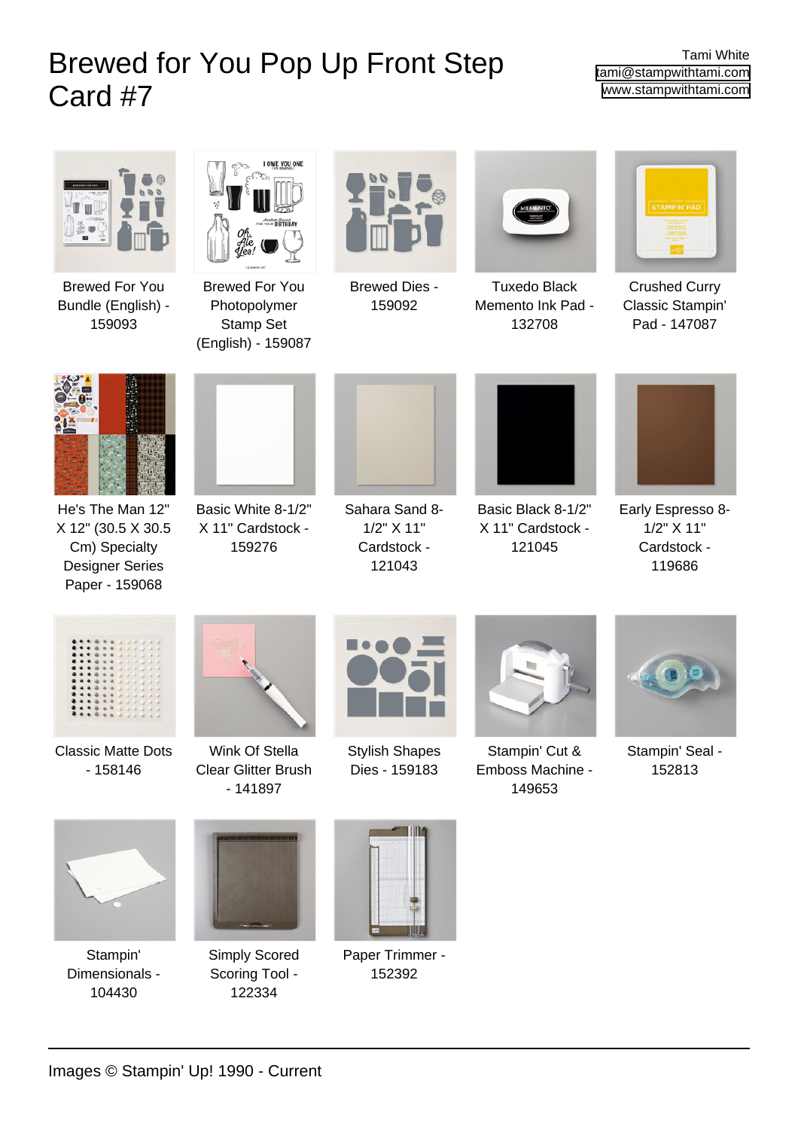# Brewed for You Pop Up Front Step Card #7

Tami White [tami@stampwithtami.com](mailto:tami@stampwithtami.com) [www.stampwithtami.com](http://www.stampwithtami.com)